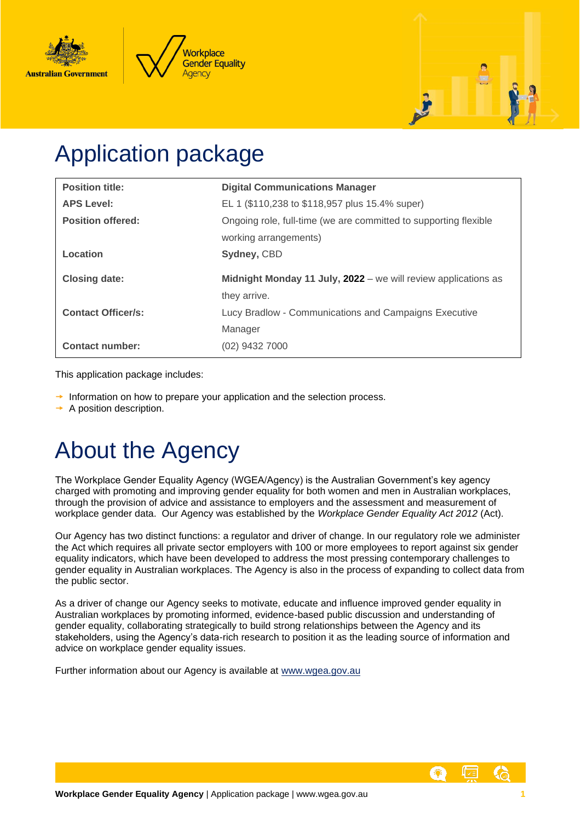





# Application package

| <b>Position title:</b>    | <b>Digital Communications Manager</b>                                          |
|---------------------------|--------------------------------------------------------------------------------|
| <b>APS Level:</b>         | EL 1 (\$110,238 to \$118,957 plus 15.4% super)                                 |
| <b>Position offered:</b>  | Ongoing role, full-time (we are committed to supporting flexible               |
|                           | working arrangements)                                                          |
| Location                  | Sydney, CBD                                                                    |
|                           |                                                                                |
| <b>Closing date:</b>      | Midnight Monday 11 July, 2022 - we will review applications as<br>they arrive. |
| <b>Contact Officer/s:</b> | Lucy Bradlow - Communications and Campaigns Executive                          |
|                           | Manager                                                                        |

This application package includes:

- $\rightarrow$  Information on how to prepare your application and the selection process.
- $\rightarrow$  A position description.

# About the Agency

The Workplace Gender Equality Agency (WGEA/Agency) is the Australian Government's key agency charged with promoting and improving gender equality for both women and men in Australian workplaces, through the provision of advice and assistance to employers and the assessment and measurement of workplace gender data. Our Agency was established by the *Workplace Gender Equality Act 2012* (Act).

Our Agency has two distinct functions: a regulator and driver of change. In our regulatory role we administer the Act which requires all private sector employers with 100 or more employees to report against six gender equality indicators, which have been developed to address the most pressing contemporary challenges to gender equality in Australian workplaces. The Agency is also in the process of expanding to collect data from the public sector.

As a driver of change our Agency seeks to motivate, educate and influence improved gender equality in Australian workplaces by promoting informed, evidence-based public discussion and understanding of gender equality, collaborating strategically to build strong relationships between the Agency and its stakeholders, using the Agency's data-rich research to position it as the leading source of information and advice on workplace gender equality issues.

Further information about our Agency is available at [www.wgea.gov.au](http://www.wgea.gov.au/)

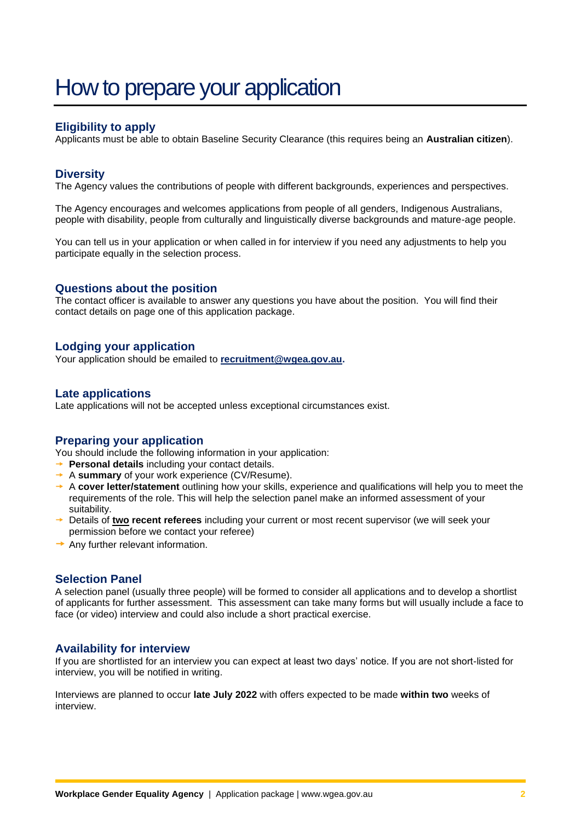## How to prepare your application

### **Eligibility to apply**

Applicants must be able to obtain Baseline Security Clearance (this requires being an **Australian citizen**).

#### **Diversity**

The Agency values the contributions of people with different backgrounds, experiences and perspectives.

The Agency encourages and welcomes applications from people of all genders, Indigenous Australians, people with disability, people from culturally and linguistically diverse backgrounds and mature-age people.

You can tell us in your application or when called in for interview if you need any adjustments to help you participate equally in the selection process.

#### **Questions about the position**

The contact officer is available to answer any questions you have about the position. You will find their contact details on page one of this application package.

#### **Lodging your application**

Your application should be emailed to **[recruitment@wgea.gov.au.](mailto:recruitment@wgea.gov.au)**

#### **Late applications**

Late applications will not be accepted unless exceptional circumstances exist.

#### **Preparing your application**

You should include the following information in your application:

- **Personal details** including your contact details.
- **→ A summary** of your work experience (CV/Resume).
- A **cover letter/statement** outlining how your skills, experience and qualifications will help you to meet the requirements of the role. This will help the selection panel make an informed assessment of your suitability.
- → Details of two recent referees including your current or most recent supervisor (we will seek your permission before we contact your referee)
- $\rightarrow$  Any further relevant information.

#### **Selection Panel**

A selection panel (usually three people) will be formed to consider all applications and to develop a shortlist of applicants for further assessment. This assessment can take many forms but will usually include a face to face (or video) interview and could also include a short practical exercise.

#### **Availability for interview**

If you are shortlisted for an interview you can expect at least two days' notice. If you are not short-listed for interview, you will be notified in writing.

Interviews are planned to occur **late July 2022** with offers expected to be made **within two** weeks of interview.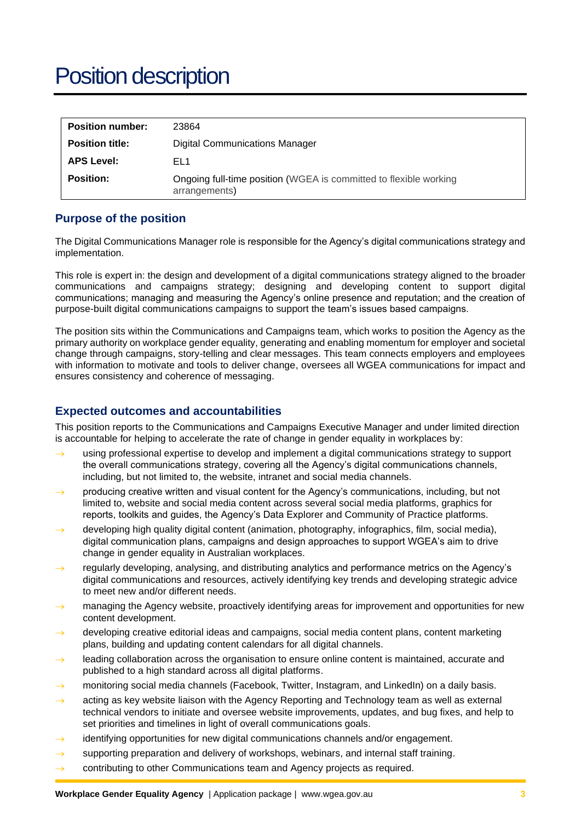## Position description

| <b>Position number:</b> | 23864                                                                              |
|-------------------------|------------------------------------------------------------------------------------|
| <b>Position title:</b>  | Digital Communications Manager                                                     |
| <b>APS Level:</b>       | EL1                                                                                |
| <b>Position:</b>        | Ongoing full-time position (WGEA is committed to flexible working<br>arrangements) |

#### **Purpose of the position**

The Digital Communications Manager role is responsible for the Agency's digital communications strategy and implementation.

This role is expert in: the design and development of a digital communications strategy aligned to the broader communications and campaigns strategy; designing and developing content to support digital communications; managing and measuring the Agency's online presence and reputation; and the creation of purpose-built digital communications campaigns to support the team's issues based campaigns.

The position sits within the Communications and Campaigns team, which works to position the Agency as the primary authority on workplace gender equality, generating and enabling momentum for employer and societal change through campaigns, story-telling and clear messages. This team connects employers and employees with information to motivate and tools to deliver change, oversees all WGEA communications for impact and ensures consistency and coherence of messaging.

#### **Expected outcomes and accountabilities**

This position reports to the Communications and Campaigns Executive Manager and under limited direction is accountable for helping to accelerate the rate of change in gender equality in workplaces by:

- → using professional expertise to develop and implement a digital communications strategy to support the overall communications strategy, covering all the Agency's digital communications channels, including, but not limited to, the website, intranet and social media channels.
- producing creative written and visual content for the Agency's communications, including, but not limited to, website and social media content across several social media platforms, graphics for reports, toolkits and guides, the Agency's Data Explorer and Community of Practice platforms.
- developing high quality digital content (animation, photography, infographics, film, social media), digital communication plans, campaigns and design approaches to support WGEA's aim to drive change in gender equality in Australian workplaces.
- regularly developing, analysing, and distributing analytics and performance metrics on the Agency's digital communications and resources, actively identifying key trends and developing strategic advice to meet new and/or different needs.
- managing the Agency website, proactively identifying areas for improvement and opportunities for new content development.
- developing creative editorial ideas and campaigns, social media content plans, content marketing plans, building and updating content calendars for all digital channels.
- $\rightarrow$  leading collaboration across the organisation to ensure online content is maintained, accurate and published to a high standard across all digital platforms.
- $\rightarrow$  monitoring social media channels (Facebook, Twitter, Instagram, and LinkedIn) on a daily basis.
- acting as key website liaison with the Agency Reporting and Technology team as well as external technical vendors to initiate and oversee website improvements, updates, and bug fixes, and help to set priorities and timelines in light of overall communications goals.
- identifying opportunities for new digital communications channels and/or engagement.
- $\rightarrow$  supporting preparation and delivery of workshops, webinars, and internal staff training.
- $\rightarrow$  contributing to other Communications team and Agency projects as required.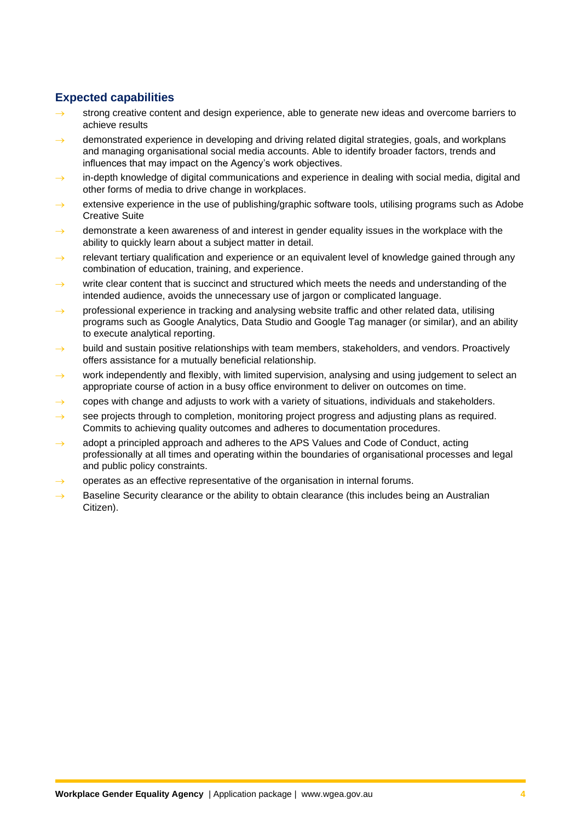### **Expected capabilities**

- strong creative content and design experience, able to generate new ideas and overcome barriers to achieve results
- demonstrated experience in developing and driving related digital strategies, goals, and workplans and managing organisational social media accounts. Able to identify broader factors, trends and influences that may impact on the Agency's work objectives.
- $\rightarrow$  in-depth knowledge of digital communications and experience in dealing with social media, digital and other forms of media to drive change in workplaces.
- extensive experience in the use of publishing/graphic software tools, utilising programs such as Adobe Creative Suite
- $\rightarrow$  demonstrate a keen awareness of and interest in gender equality issues in the workplace with the ability to quickly learn about a subject matter in detail.
- relevant tertiary qualification and experience or an equivalent level of knowledge gained through any combination of education, training, and experience.
- write clear content that is succinct and structured which meets the needs and understanding of the intended audience, avoids the unnecessary use of jargon or complicated language.
- $\rightarrow$  professional experience in tracking and analysing website traffic and other related data, utilising programs such as Google Analytics, Data Studio and Google Tag manager (or similar), and an ability to execute analytical reporting.
- $\rightarrow$  build and sustain positive relationships with team members, stakeholders, and vendors. Proactively offers assistance for a mutually beneficial relationship.
- $\rightarrow$  work independently and flexibly, with limited supervision, analysing and using judgement to select an appropriate course of action in a busy office environment to deliver on outcomes on time.
- copes with change and adjusts to work with a variety of situations, individuals and stakeholders.
- $\rightarrow$  see projects through to completion, monitoring project progress and adjusting plans as required. Commits to achieving quality outcomes and adheres to documentation procedures.
- adopt a principled approach and adheres to the APS Values and Code of Conduct, acting professionally at all times and operating within the boundaries of organisational processes and legal and public policy constraints.
- operates as an effective representative of the organisation in internal forums.
- Baseline Security clearance or the ability to obtain clearance (this includes being an Australian Citizen).